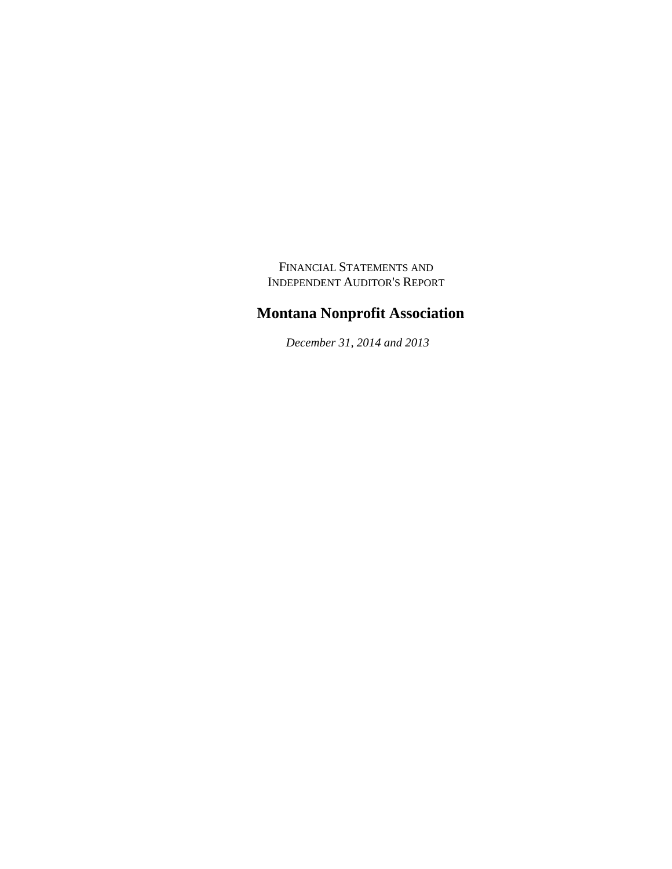FINANCIAL STATEMENTS AND INDEPENDENT AUDITOR'S REPORT

## **Montana Nonprofit Association**

 *December 31, 2014 and 2013*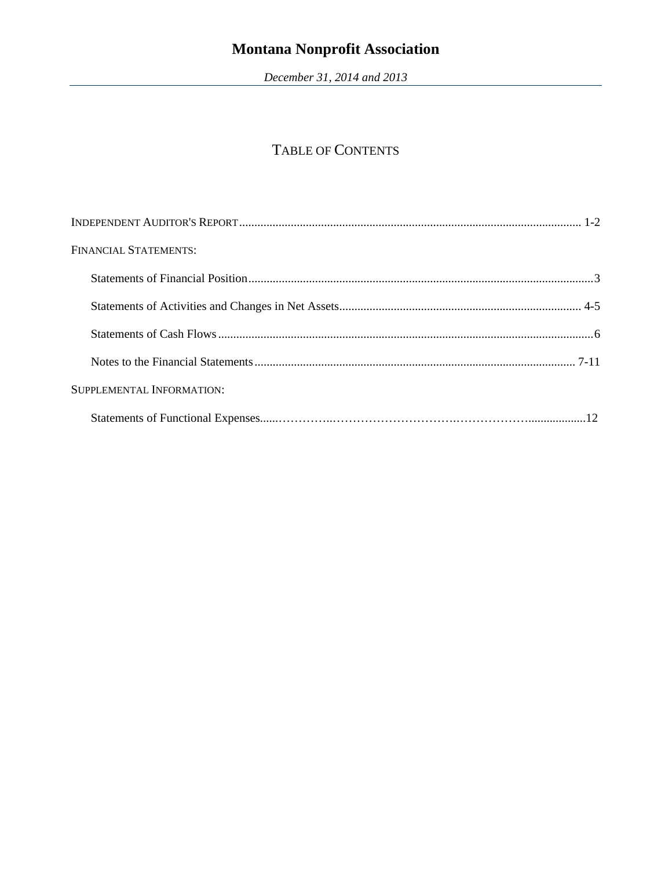*December 31, 2014 and 2013* 

### TABLE OF CONTENTS

| <b>FINANCIAL STATEMENTS:</b> |  |
|------------------------------|--|
|                              |  |
|                              |  |
|                              |  |
|                              |  |
| SUPPLEMENTAL INFORMATION:    |  |
|                              |  |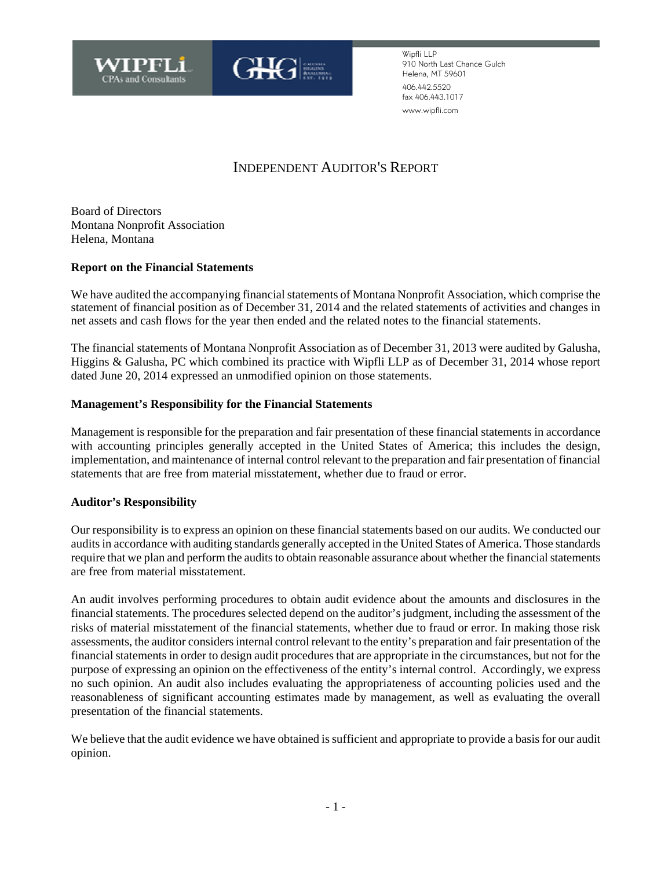

Wipfli LLP 910 North Last Chance Gulch Helena, MT 59601 406.442.5520 fax 406.443.1017 www.wipfli.com

### INDEPENDENT AUDITOR'S REPORT

Board of Directors Montana Nonprofit Association Helena, Montana

#### **Report on the Financial Statements**

We have audited the accompanying financial statements of Montana Nonprofit Association, which comprise the statement of financial position as of December 31, 2014 and the related statements of activities and changes in net assets and cash flows for the year then ended and the related notes to the financial statements.

The financial statements of Montana Nonprofit Association as of December 31, 2013 were audited by Galusha, Higgins & Galusha, PC which combined its practice with Wipfli LLP as of December 31, 2014 whose report dated June 20, 2014 expressed an unmodified opinion on those statements.

#### **Management's Responsibility for the Financial Statements**

Management is responsible for the preparation and fair presentation of these financial statements in accordance with accounting principles generally accepted in the United States of America; this includes the design, implementation, and maintenance of internal control relevant to the preparation and fair presentation of financial statements that are free from material misstatement, whether due to fraud or error.

#### **Auditor's Responsibility**

Our responsibility is to express an opinion on these financial statements based on our audits. We conducted our audits in accordance with auditing standards generally accepted in the United States of America. Those standards require that we plan and perform the audits to obtain reasonable assurance about whether the financial statements are free from material misstatement.

An audit involves performing procedures to obtain audit evidence about the amounts and disclosures in the financial statements. The procedures selected depend on the auditor's judgment, including the assessment of the risks of material misstatement of the financial statements, whether due to fraud or error. In making those risk assessments, the auditor considers internal control relevant to the entity's preparation and fair presentation of the financial statements in order to design audit procedures that are appropriate in the circumstances, but not for the purpose of expressing an opinion on the effectiveness of the entity's internal control. Accordingly, we express no such opinion. An audit also includes evaluating the appropriateness of accounting policies used and the reasonableness of significant accounting estimates made by management, as well as evaluating the overall presentation of the financial statements.

We believe that the audit evidence we have obtained is sufficient and appropriate to provide a basis for our audit opinion.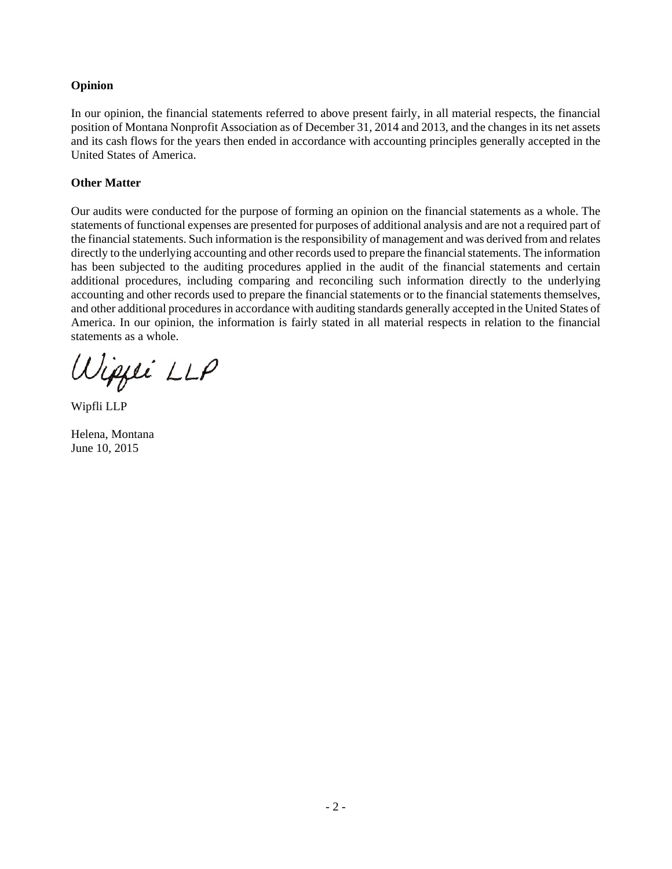#### **Opinion**

In our opinion, the financial statements referred to above present fairly, in all material respects, the financial position of Montana Nonprofit Association as of December 31, 2014 and 2013, and the changes in its net assets and its cash flows for the years then ended in accordance with accounting principles generally accepted in the United States of America.

#### **Other Matter**

Our audits were conducted for the purpose of forming an opinion on the financial statements as a whole. The statements of functional expenses are presented for purposes of additional analysis and are not a required part of the financial statements. Such information is the responsibility of management and was derived from and relates directly to the underlying accounting and other records used to prepare the financial statements. The information has been subjected to the auditing procedures applied in the audit of the financial statements and certain additional procedures, including comparing and reconciling such information directly to the underlying accounting and other records used to prepare the financial statements or to the financial statements themselves, and other additional procedures in accordance with auditing standards generally accepted in the United States of America. In our opinion, the information is fairly stated in all material respects in relation to the financial statements as a whole.

Wippei LLP

Wipfli LLP

Helena, Montana June 10, 2015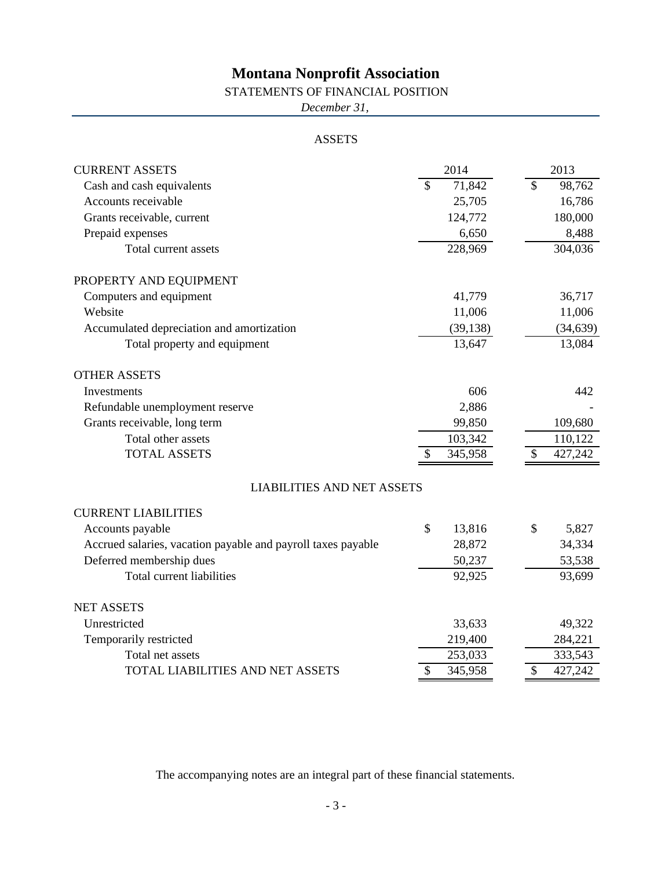#### STATEMENTS OF FINANCIAL POSITION

*December 31,*

#### ASSETS

| <b>CURRENT ASSETS</b>                                        |               | 2014      | 2013          |
|--------------------------------------------------------------|---------------|-----------|---------------|
| Cash and cash equivalents                                    | \$            | 71,842    | \$<br>98,762  |
| Accounts receivable                                          |               | 25,705    | 16,786        |
| Grants receivable, current                                   |               | 124,772   | 180,000       |
| Prepaid expenses                                             |               | 6,650     | 8,488         |
| Total current assets                                         |               | 228,969   | 304,036       |
| PROPERTY AND EQUIPMENT                                       |               |           |               |
| Computers and equipment                                      |               | 41,779    | 36,717        |
| Website                                                      |               | 11,006    | 11,006        |
| Accumulated depreciation and amortization                    |               | (39, 138) | (34, 639)     |
| Total property and equipment                                 |               | 13,647    | 13,084        |
| <b>OTHER ASSETS</b>                                          |               |           |               |
| Investments                                                  |               | 606       | 442           |
| Refundable unemployment reserve                              |               | 2,886     |               |
| Grants receivable, long term                                 |               | 99,850    | 109,680       |
| Total other assets                                           |               | 103,342   | 110,122       |
| <b>TOTAL ASSETS</b>                                          | \$            | 345,958   | \$<br>427,242 |
| <b>LIABILITIES AND NET ASSETS</b>                            |               |           |               |
| <b>CURRENT LIABILITIES</b>                                   |               |           |               |
| Accounts payable                                             | \$            | 13,816    | \$<br>5,827   |
| Accrued salaries, vacation payable and payroll taxes payable |               | 28,872    | 34,334        |
| Deferred membership dues                                     |               | 50,237    | 53,538        |
| Total current liabilities                                    |               | 92,925    | 93,699        |
| <b>NET ASSETS</b>                                            |               |           |               |
| Unrestricted                                                 |               | 33,633    | 49,322        |
| Temporarily restricted                                       |               | 219,400   | 284,221       |
| Total net assets                                             |               | 253,033   | 333,543       |
| TOTAL LIABILITIES AND NET ASSETS                             | $\mathcal{S}$ | 345,958   | \$<br>427,242 |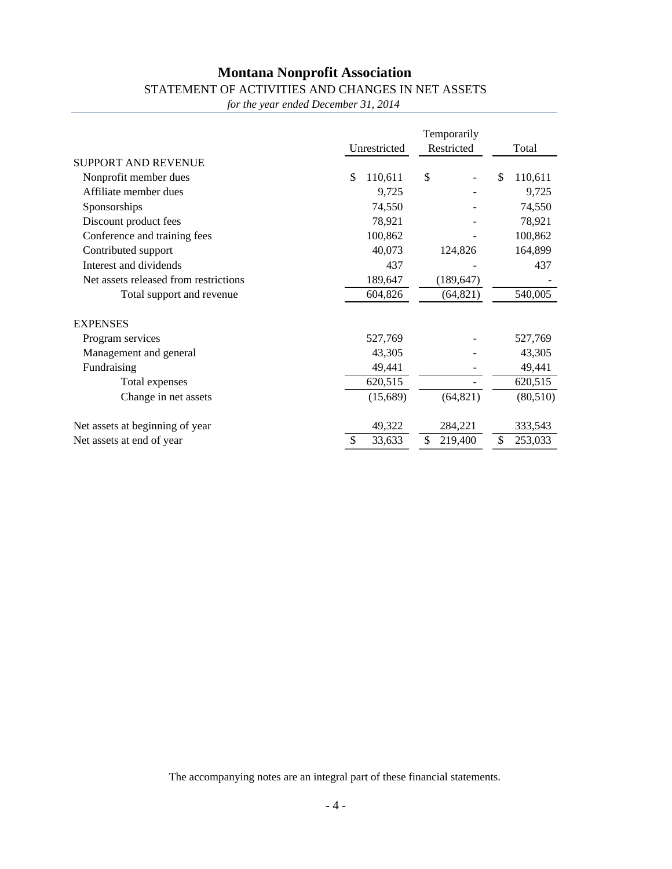#### STATEMENT OF ACTIVITIES AND CHANGES IN NET ASSETS

*for the year ended December 31, 2014*

|                                       |               | Temporarily   |               |
|---------------------------------------|---------------|---------------|---------------|
|                                       | Unrestricted  | Restricted    | Total         |
| <b>SUPPORT AND REVENUE</b>            |               |               |               |
| Nonprofit member dues                 | \$<br>110,611 | \$            | 110,611<br>\$ |
| Affiliate member dues                 | 9,725         |               | 9,725         |
| Sponsorships                          | 74,550        |               | 74,550        |
| Discount product fees                 | 78,921        |               | 78,921        |
| Conference and training fees          | 100,862       |               | 100,862       |
| Contributed support                   | 40,073        | 124,826       | 164,899       |
| Interest and dividends                | 437           |               | 437           |
| Net assets released from restrictions | 189,647       | (189, 647)    |               |
| Total support and revenue             | 604,826       | (64, 821)     | 540,005       |
| <b>EXPENSES</b>                       |               |               |               |
| Program services                      | 527,769       |               | 527,769       |
| Management and general                | 43,305        |               | 43,305        |
| Fundraising                           | 49,441        |               | 49,441        |
| Total expenses                        | 620,515       |               | 620,515       |
| Change in net assets                  | (15,689)      | (64, 821)     | (80, 510)     |
| Net assets at beginning of year       | 49,322        | 284,221       | 333,543       |
| Net assets at end of year             | \$<br>33,633  | \$<br>219,400 | \$<br>253,033 |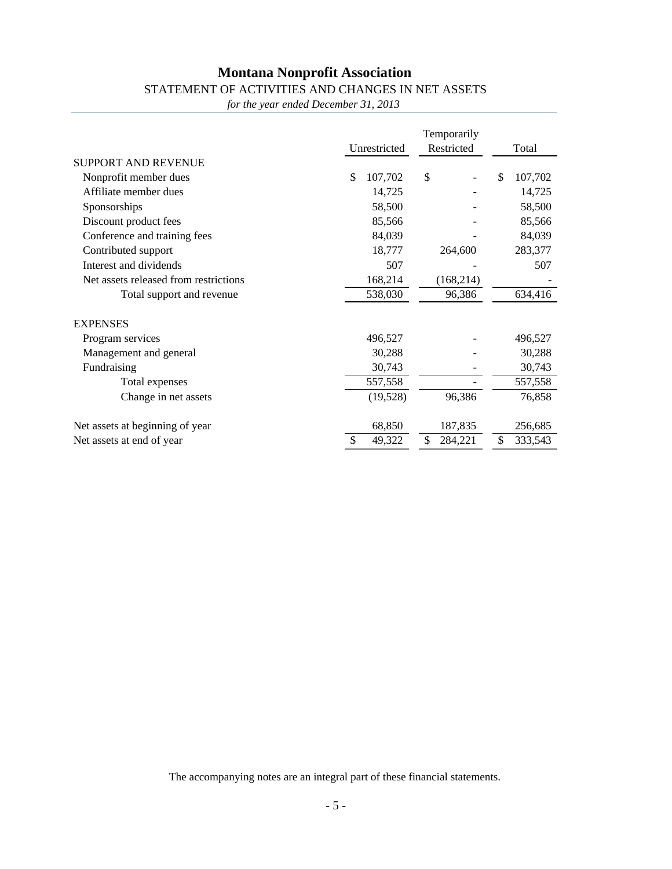#### STATEMENT OF ACTIVITIES AND CHANGES IN NET ASSETS

*for the year ended December 31, 2013*

|                                       |               | Temporarily   |               |  |  |  |
|---------------------------------------|---------------|---------------|---------------|--|--|--|
|                                       | Unrestricted  | Restricted    | Total         |  |  |  |
| <b>SUPPORT AND REVENUE</b>            |               |               |               |  |  |  |
| Nonprofit member dues                 | \$<br>107,702 | \$            | \$<br>107,702 |  |  |  |
| Affiliate member dues                 | 14,725        |               | 14,725        |  |  |  |
| Sponsorships                          | 58,500        |               | 58,500        |  |  |  |
| Discount product fees                 | 85,566        |               | 85,566        |  |  |  |
| Conference and training fees          | 84,039        |               | 84,039        |  |  |  |
| Contributed support                   | 18,777        | 264,600       | 283,377       |  |  |  |
| Interest and dividends                | 507           |               | 507           |  |  |  |
| Net assets released from restrictions | 168,214       | (168, 214)    |               |  |  |  |
| Total support and revenue             | 538,030       | 96,386        | 634,416       |  |  |  |
| <b>EXPENSES</b>                       |               |               |               |  |  |  |
| Program services                      | 496,527       |               | 496,527       |  |  |  |
| Management and general                | 30,288        |               | 30,288        |  |  |  |
| Fundraising                           | 30,743        |               | 30,743        |  |  |  |
| Total expenses                        | 557,558       |               | 557,558       |  |  |  |
| Change in net assets                  | (19, 528)     | 96,386        | 76,858        |  |  |  |
| Net assets at beginning of year       | 68,850        | 187,835       | 256,685       |  |  |  |
| Net assets at end of year             | 49,322        | \$<br>284,221 | \$<br>333,543 |  |  |  |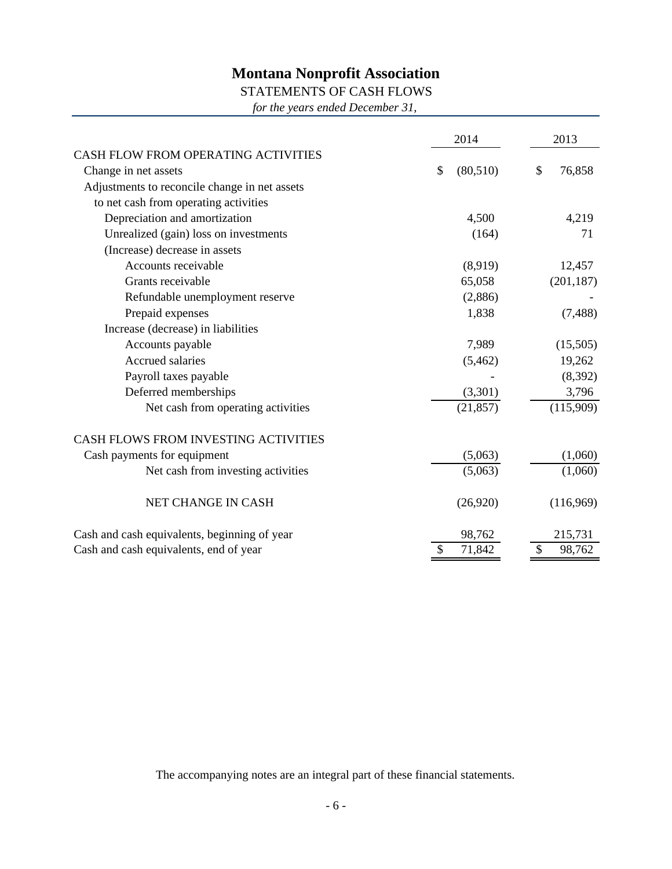#### STATEMENTS OF CASH FLOWS

*for the years ended December 31,*

|                                               |    | 2014      | 2013          |            |  |
|-----------------------------------------------|----|-----------|---------------|------------|--|
| CASH FLOW FROM OPERATING ACTIVITIES           |    |           |               |            |  |
| Change in net assets                          | \$ | (80, 510) | \$            | 76,858     |  |
| Adjustments to reconcile change in net assets |    |           |               |            |  |
| to net cash from operating activities         |    |           |               |            |  |
| Depreciation and amortization                 |    | 4,500     |               | 4,219      |  |
| Unrealized (gain) loss on investments         |    | (164)     |               | 71         |  |
| (Increase) decrease in assets                 |    |           |               |            |  |
| Accounts receivable                           |    | (8,919)   |               | 12,457     |  |
| Grants receivable                             |    | 65,058    |               | (201, 187) |  |
| Refundable unemployment reserve               |    | (2,886)   |               |            |  |
| Prepaid expenses                              |    | 1,838     |               | (7, 488)   |  |
| Increase (decrease) in liabilities            |    |           |               |            |  |
| Accounts payable                              |    | 7,989     |               | (15,505)   |  |
| Accrued salaries                              |    | (5, 462)  |               | 19,262     |  |
| Payroll taxes payable                         |    |           |               | (8,392)    |  |
| Deferred memberships                          |    | (3,301)   |               | 3,796      |  |
| Net cash from operating activities            |    | (21, 857) |               | (115,909)  |  |
| CASH FLOWS FROM INVESTING ACTIVITIES          |    |           |               |            |  |
| Cash payments for equipment                   |    | (5,063)   |               | (1,060)    |  |
| Net cash from investing activities            |    | (5,063)   |               | (1,060)    |  |
| <b>NET CHANGE IN CASH</b>                     |    | (26,920)  |               | (116,969)  |  |
| Cash and cash equivalents, beginning of year  |    | 98,762    |               | 215,731    |  |
| Cash and cash equivalents, end of year        | \$ | 71,842    | $\mathcal{S}$ | 98,762     |  |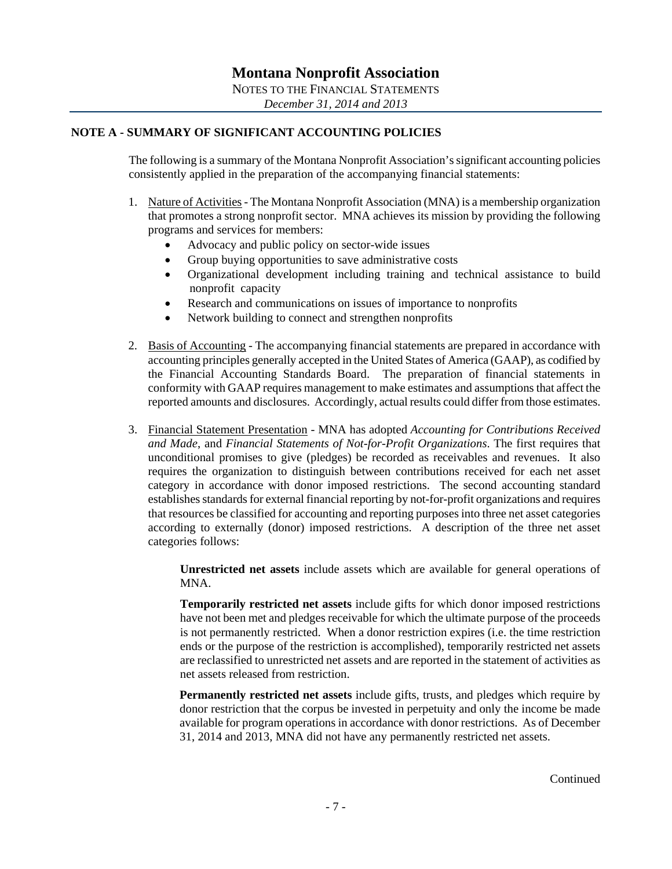#### **NOTE A - SUMMARY OF SIGNIFICANT ACCOUNTING POLICIES**

The following is a summary of the Montana Nonprofit Association's significant accounting policies consistently applied in the preparation of the accompanying financial statements:

- 1. Nature of Activities The Montana Nonprofit Association (MNA) is a membership organization that promotes a strong nonprofit sector. MNA achieves its mission by providing the following programs and services for members:
	- Advocacy and public policy on sector-wide issues
	- Group buying opportunities to save administrative costs
	- Organizational development including training and technical assistance to build nonprofit capacity
	- Research and communications on issues of importance to nonprofits
	- Network building to connect and strengthen nonprofits
- 2. Basis of Accounting The accompanying financial statements are prepared in accordance with accounting principles generally accepted in the United States of America (GAAP), as codified by the Financial Accounting Standards Board. The preparation of financial statements in conformity with GAAP requires management to make estimates and assumptions that affect the reported amounts and disclosures. Accordingly, actual results could differ from those estimates.
- 3. Financial Statement Presentation MNA has adopted *Accounting for Contributions Received and Made*, and *Financial Statements of Not-for-Profit Organizations*. The first requires that unconditional promises to give (pledges) be recorded as receivables and revenues. It also requires the organization to distinguish between contributions received for each net asset category in accordance with donor imposed restrictions. The second accounting standard establishes standards for external financial reporting by not-for-profit organizations and requires that resources be classified for accounting and reporting purposes into three net asset categories according to externally (donor) imposed restrictions. A description of the three net asset categories follows:

**Unrestricted net assets** include assets which are available for general operations of MNA.

**Temporarily restricted net assets** include gifts for which donor imposed restrictions have not been met and pledges receivable for which the ultimate purpose of the proceeds is not permanently restricted. When a donor restriction expires (i.e. the time restriction ends or the purpose of the restriction is accomplished), temporarily restricted net assets are reclassified to unrestricted net assets and are reported in the statement of activities as net assets released from restriction.

**Permanently restricted net assets** include gifts, trusts, and pledges which require by donor restriction that the corpus be invested in perpetuity and only the income be made available for program operations in accordance with donor restrictions. As of December 31, 2014 and 2013, MNA did not have any permanently restricted net assets.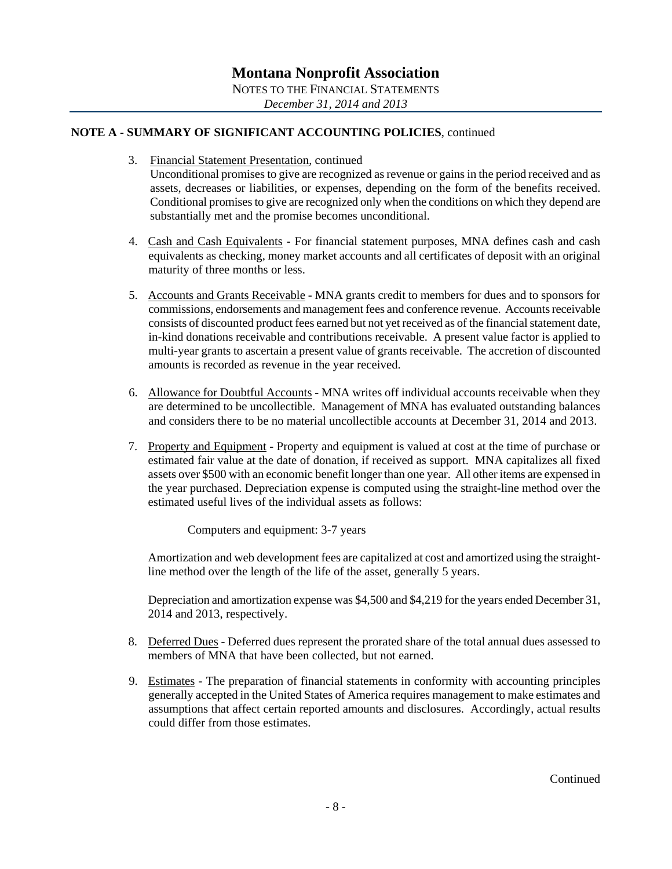#### **NOTE A - SUMMARY OF SIGNIFICANT ACCOUNTING POLICIES**, continued

- 3. Financial Statement Presentation, continued Unconditional promises to give are recognized as revenue or gains in the period received and as assets, decreases or liabilities, or expenses, depending on the form of the benefits received. Conditional promises to give are recognized only when the conditions on which they depend are substantially met and the promise becomes unconditional.
- 4. Cash and Cash Equivalents For financial statement purposes, MNA defines cash and cash equivalents as checking, money market accounts and all certificates of deposit with an original maturity of three months or less.
- 5. Accounts and Grants Receivable MNA grants credit to members for dues and to sponsors for commissions, endorsements and management fees and conference revenue. Accounts receivable consists of discounted product fees earned but not yet received as of the financial statement date, in-kind donations receivable and contributions receivable. A present value factor is applied to multi-year grants to ascertain a present value of grants receivable. The accretion of discounted amounts is recorded as revenue in the year received.
- 6. Allowance for Doubtful Accounts MNA writes off individual accounts receivable when they are determined to be uncollectible. Management of MNA has evaluated outstanding balances and considers there to be no material uncollectible accounts at December 31, 2014 and 2013.
- 7. Property and Equipment Property and equipment is valued at cost at the time of purchase or estimated fair value at the date of donation, if received as support. MNA capitalizes all fixed assets over \$500 with an economic benefit longer than one year. All other items are expensed in the year purchased. Depreciation expense is computed using the straight-line method over the estimated useful lives of the individual assets as follows:

Computers and equipment: 3-7 years

 Amortization and web development fees are capitalized at cost and amortized using the straightline method over the length of the life of the asset, generally 5 years.

 Depreciation and amortization expense was \$4,500 and \$4,219 for the years ended December 31, 2014 and 2013, respectively.

- 8. Deferred Dues Deferred dues represent the prorated share of the total annual dues assessed to members of MNA that have been collected, but not earned.
- 9. Estimates The preparation of financial statements in conformity with accounting principles generally accepted in the United States of America requires management to make estimates and assumptions that affect certain reported amounts and disclosures. Accordingly, actual results could differ from those estimates.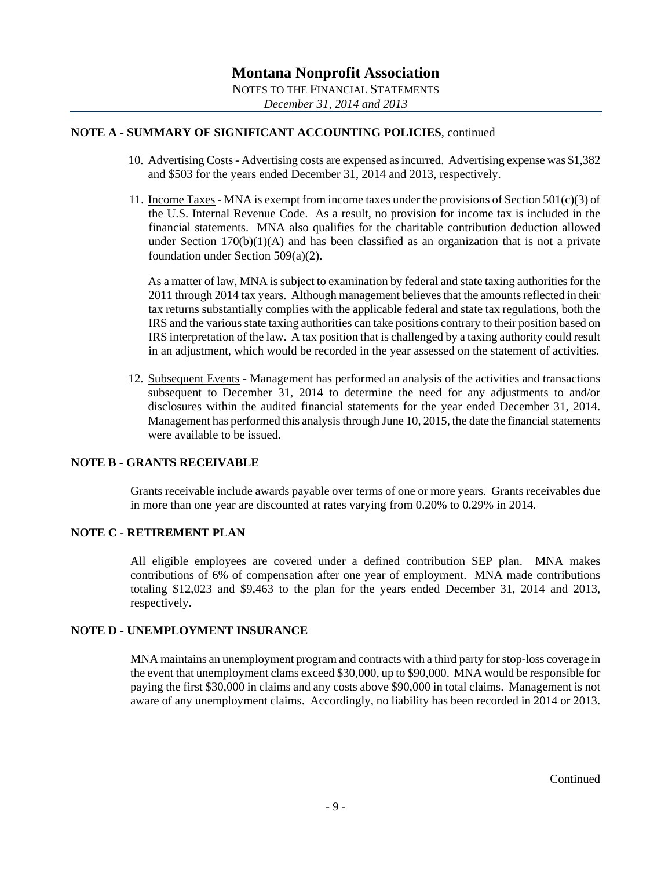#### **NOTE A - SUMMARY OF SIGNIFICANT ACCOUNTING POLICIES**, continued

- 10. Advertising Costs Advertising costs are expensed as incurred. Advertising expense was \$1,382 and \$503 for the years ended December 31, 2014 and 2013, respectively.
- 11. Income Taxes MNA is exempt from income taxes under the provisions of Section  $501(c)(3)$  of the U.S. Internal Revenue Code. As a result, no provision for income tax is included in the financial statements. MNA also qualifies for the charitable contribution deduction allowed under Section  $170(b)(1)(A)$  and has been classified as an organization that is not a private foundation under Section 509(a)(2).

 As a matter of law, MNA is subject to examination by federal and state taxing authorities for the 2011 through 2014 tax years. Although management believes that the amounts reflected in their tax returns substantially complies with the applicable federal and state tax regulations, both the IRS and the various state taxing authorities can take positions contrary to their position based on IRS interpretation of the law. A tax position that is challenged by a taxing authority could result in an adjustment, which would be recorded in the year assessed on the statement of activities.

12. Subsequent Events - Management has performed an analysis of the activities and transactions subsequent to December 31, 2014 to determine the need for any adjustments to and/or disclosures within the audited financial statements for the year ended December 31, 2014. Management has performed this analysis through June 10, 2015, the date the financial statements were available to be issued.

#### **NOTE B - GRANTS RECEIVABLE**

Grants receivable include awards payable over terms of one or more years. Grants receivables due in more than one year are discounted at rates varying from 0.20% to 0.29% in 2014.

#### **NOTE C - RETIREMENT PLAN**

All eligible employees are covered under a defined contribution SEP plan. MNA makes contributions of 6% of compensation after one year of employment. MNA made contributions totaling \$12,023 and \$9,463 to the plan for the years ended December 31, 2014 and 2013, respectively.

#### **NOTE D - UNEMPLOYMENT INSURANCE**

MNA maintains an unemployment program and contracts with a third party for stop-loss coverage in the event that unemployment clams exceed \$30,000, up to \$90,000. MNA would be responsible for paying the first \$30,000 in claims and any costs above \$90,000 in total claims. Management is not aware of any unemployment claims. Accordingly, no liability has been recorded in 2014 or 2013.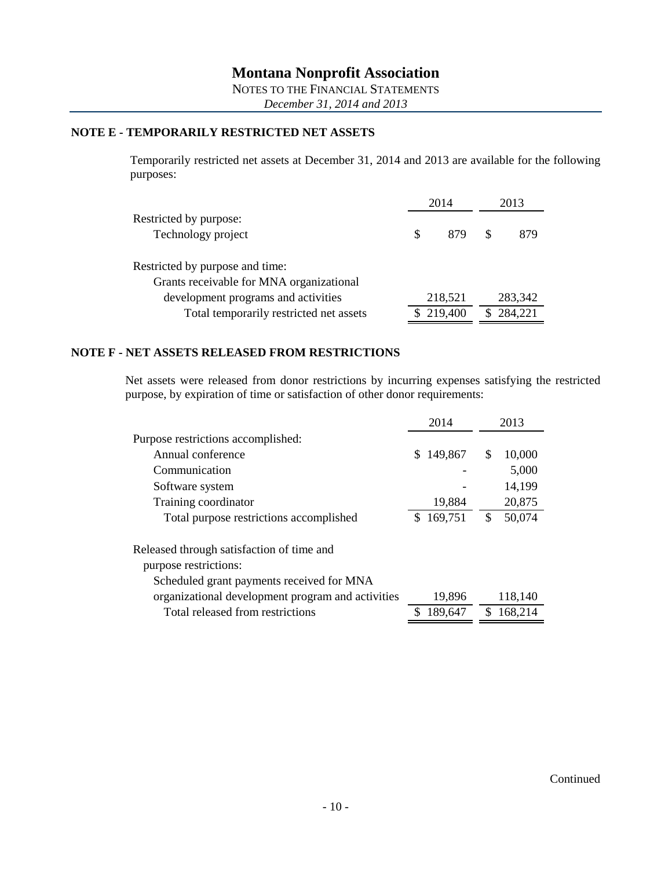#### **NOTE E - TEMPORARILY RESTRICTED NET ASSETS**

Temporarily restricted net assets at December 31, 2014 and 2013 are available for the following purposes:

|                                          |   | 2014      | 2013    |         |  |  |
|------------------------------------------|---|-----------|---------|---------|--|--|
| Restricted by purpose:                   |   |           |         |         |  |  |
| Technology project                       | S | 879       | \$      | 879     |  |  |
| Restricted by purpose and time:          |   |           |         |         |  |  |
| Grants receivable for MNA organizational |   |           |         |         |  |  |
| development programs and activities      |   | 218,521   |         | 283,342 |  |  |
| Total temporarily restricted net assets  |   | \$219,400 | 284,221 |         |  |  |

#### **NOTE F - NET ASSETS RELEASED FROM RESTRICTIONS**

Net assets were released from donor restrictions by incurring expenses satisfying the restricted purpose, by expiration of time or satisfaction of other donor requirements:

|                                                                    | 2014          | 2013         |  |  |
|--------------------------------------------------------------------|---------------|--------------|--|--|
| Purpose restrictions accomplished:                                 |               |              |  |  |
| Annual conference                                                  | 149,867<br>S. | \$<br>10,000 |  |  |
| Communication                                                      |               | 5,000        |  |  |
| Software system                                                    |               | 14,199       |  |  |
| Training coordinator                                               | 19,884        | 20,875       |  |  |
| Total purpose restrictions accomplished                            | 169,751<br>S. | 50,074<br>\$ |  |  |
| Released through satisfaction of time and<br>purpose restrictions: |               |              |  |  |
| Scheduled grant payments received for MNA                          |               |              |  |  |
| organizational development program and activities                  | 19,896        | 118,140      |  |  |
| Total released from restrictions                                   | 189,647       | \$168,214    |  |  |
|                                                                    |               |              |  |  |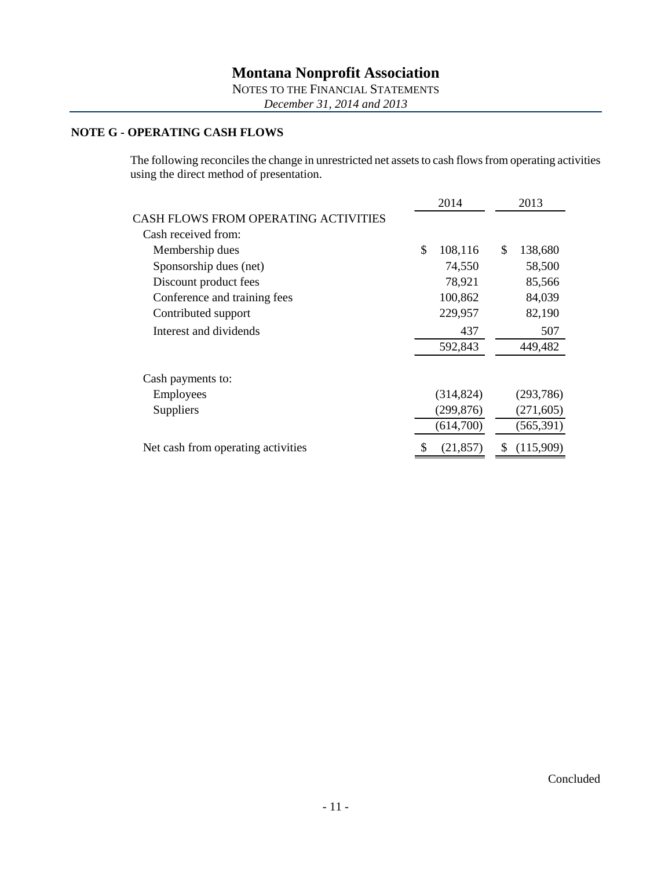NOTES TO THE FINANCIAL STATEMENTS *December 31, 2014 and 2013* 

#### **NOTE G - OPERATING CASH FLOWS**

The following reconciles the change in unrestricted net assets to cash flows from operating activities using the direct method of presentation.

|                                      | 2014            | 2013            |  |  |  |
|--------------------------------------|-----------------|-----------------|--|--|--|
| CASH FLOWS FROM OPERATING ACTIVITIES |                 |                 |  |  |  |
| Cash received from:                  |                 |                 |  |  |  |
| Membership dues                      | \$<br>108,116   | \$<br>138,680   |  |  |  |
| Sponsorship dues (net)               | 74,550          | 58,500          |  |  |  |
| Discount product fees                | 78,921          | 85,566          |  |  |  |
| Conference and training fees         | 100,862         | 84,039          |  |  |  |
| Contributed support                  | 229,957         | 82,190          |  |  |  |
| Interest and dividends               | 437             | 507             |  |  |  |
|                                      | 592,843         | 449,482         |  |  |  |
| Cash payments to:                    |                 |                 |  |  |  |
| Employees                            | (314, 824)      | (293,786)       |  |  |  |
| Suppliers                            | (299, 876)      | (271, 605)      |  |  |  |
|                                      | (614,700)       | (565, 391)      |  |  |  |
| Net cash from operating activities   | \$<br>(21, 857) | \$<br>(115,909) |  |  |  |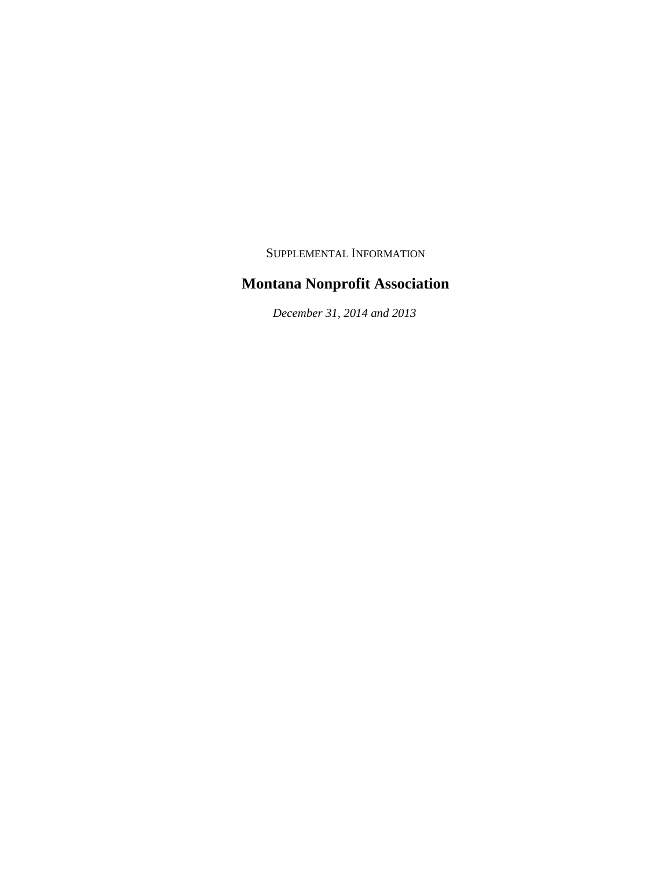SUPPLEMENTAL INFORMATION

## **Montana Nonprofit Association**

*December 31, 2014 and 2013*